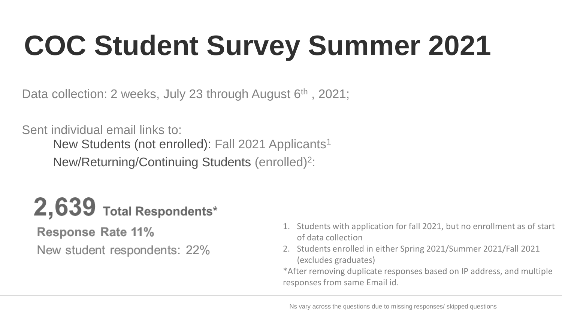# **COC Student Survey Summer 2021**

Data collection: 2 weeks, July 23 through August 6<sup>th</sup>, 2021;

Sent individual email links to:

New Students (not enrolled): Fall 2021 Applicants<sup>1</sup>

New/Returning/Continuing Students (enrolled)2:

## 2,639 Total Respondents\*

**Response Rate 11%** New student respondents: 22%

- 1. Students with application for fall 2021, but no enrollment as of start of data collection
- 2. Students enrolled in either Spring 2021/Summer 2021/Fall 2021 (excludes graduates)

 \*After removing duplicate responses based on IP address, and multiple responses from same Email id.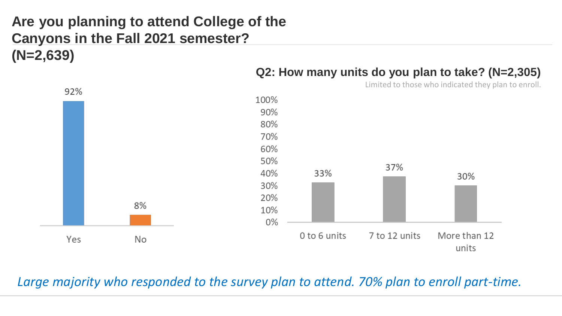## **Are you planning to attend College of the Canyons in the Fall 2021 semester? (N=2,639)**



#### **Q2: How many units do you plan to take? (N=2,305)**

Limited to those who indicated they plan to enroll.

Large majority who responded to the survey plan to attend. 70% plan to enroll part-time.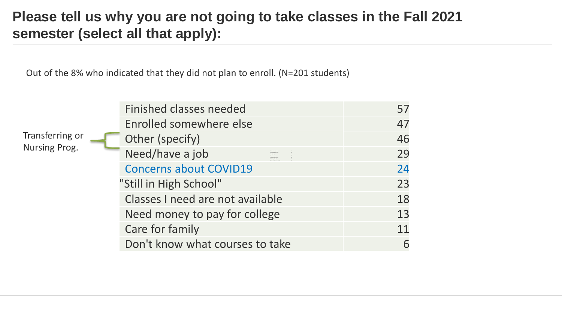#### **Please tell us why you are not going to take classes in the Fall 2021 semester (select all that apply):**

Out of the 8% who indicated that they did not plan to enroll. (N=201 students)

Transferring or **the contract of the contract of the contract of the control of the contract of the control of the contract of the contract of the contract of the contract of the contract of the contract of the contract of** Nursing Prog.

| <b>Finished classes needed</b>   |    |
|----------------------------------|----|
| Enrolled somewhere else          | 47 |
| Other (specify)                  | 46 |
| Need/have a job                  | 29 |
| <b>Concerns about COVID19</b>    | 24 |
| "Still in High School"           | 23 |
| Classes I need are not available | 18 |
| Need money to pay for college    | 13 |
| Care for family                  | 11 |
| Don't know what courses to take  |    |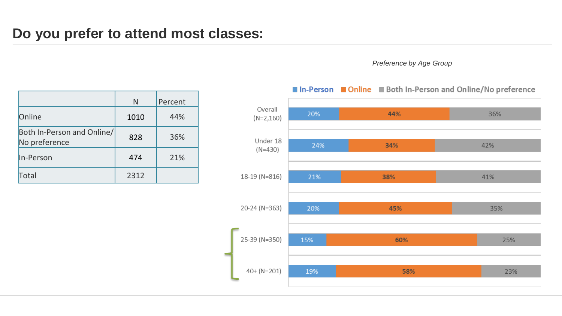#### **Do you prefer to attend most classes:**

#### *Preference by Age Group*

|                                             | N    | Percent |
|---------------------------------------------|------|---------|
| Online                                      | 1010 | 44%     |
| Both In-Person and Online/<br>No preference | 828  | 36%     |
| In-Person                                   | 474  | 21%     |
| Total                                       | 2312 |         |



#### ■ In-Person ■ Online ■ Both In-Person and Online/No preference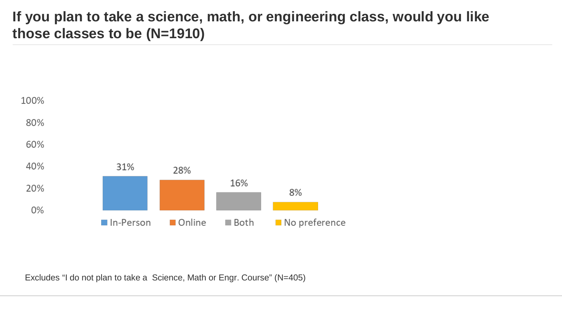#### **If you plan to take a science, math, or engineering class, would you like those classes to be (N=1910)**



Excludes "I do not plan to take a Science, Math or Engr. Course" (N=405)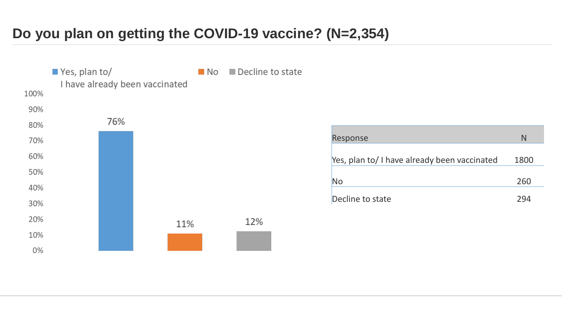### **Do you plan on getting the COVID -19 vaccine? (N=2,354)**



| Response                                     | N    |
|----------------------------------------------|------|
| Yes, plan to/ I have already been vaccinated | 1800 |
| No                                           | 260  |
| Decline to state                             | 294  |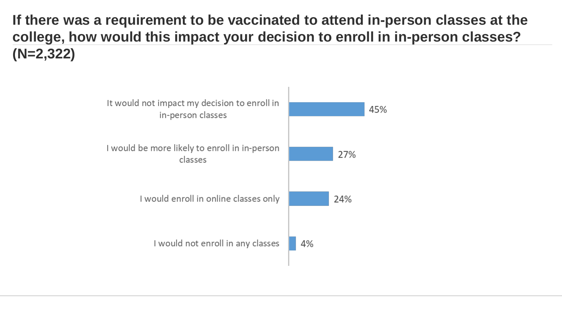**If there was a requirement to be vaccinated to attend in-person classes at the college, how would this impact your decision to enroll in in-person classes? (N=2,322)** 

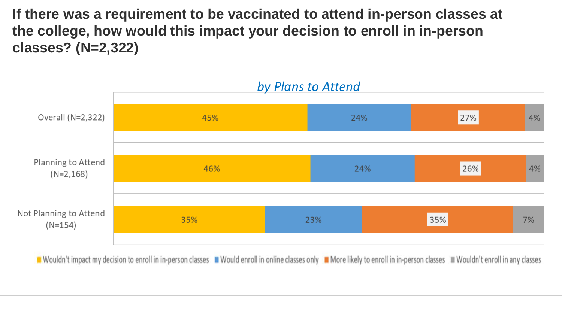**If there was a requirement to be vaccinated to attend in-person classes at the college, how would this impact your decision to enroll in in-person classes? (N=2,322)** 



*by Plans to Attend* 

■ Wouldn't impact my decision to enroll in in-person classes ■ Would enroll in online classes only ■ More likely to enroll in in-person classes ■ Wouldn't enroll in any classes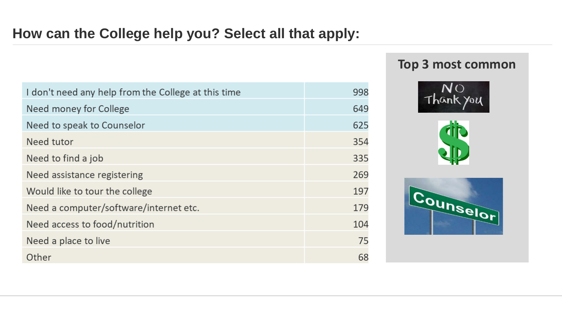#### **How can the College help you? Select all that apply:**

| I don't need any help from the College at this time | 998 |
|-----------------------------------------------------|-----|
| Need money for College                              | 649 |
| Need to speak to Counselor                          | 625 |
| Need tutor                                          | 354 |
| Need to find a job                                  | 335 |
| Need assistance registering                         | 269 |
| Would like to tour the college                      | 197 |
| Need a computer/software/internet etc.              | 179 |
| Need access to food/nutrition                       | 104 |
| Need a place to live                                | 75  |
| Other                                               | 68  |

#### **Top 3 most common**





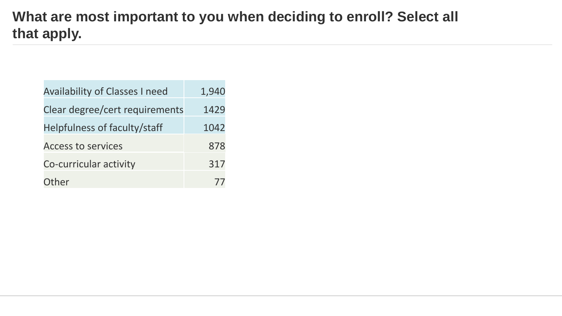### **What are most important to you when deciding to enroll? Select all that apply.**

| <b>Availability of Classes I need</b> | 1,940 |
|---------------------------------------|-------|
| Clear degree/cert requirements        | 1429  |
| Helpfulness of faculty/staff          | 1042  |
| <b>Access to services</b>             | 878   |
| Co-curricular activity                | 317   |
| Other                                 |       |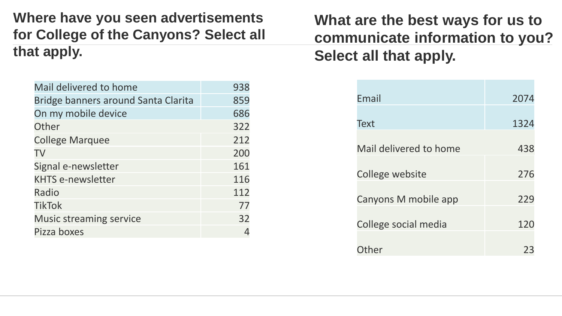**Where have you seen advertisements for College of the Canyons? Select all that apply.** 

| Mail delivered to home              | 938 |
|-------------------------------------|-----|
| Bridge banners around Santa Clarita | 859 |
| On my mobile device                 | 686 |
| Other                               | 322 |
| <b>College Marquee</b>              | 212 |
| TV                                  | 200 |
| Signal e-newsletter                 | 161 |
| <b>KHTS e-newsletter</b>            | 116 |
| Radio                               | 112 |
| <b>TikTok</b>                       | 77  |
| <b>Music streaming service</b>      | 32  |
| Pizza boxes                         |     |

**What are the best ways for us to communicate information to you? Select all that apply.** 

| Email                  | 2074 |
|------------------------|------|
|                        |      |
| Text                   | 1324 |
|                        |      |
| Mail delivered to home | 438  |
|                        |      |
| College website        | 276  |
|                        |      |
| Canyons M mobile app   | 229  |
|                        |      |
| College social media   | 120  |
|                        |      |
| .)ther                 | 23   |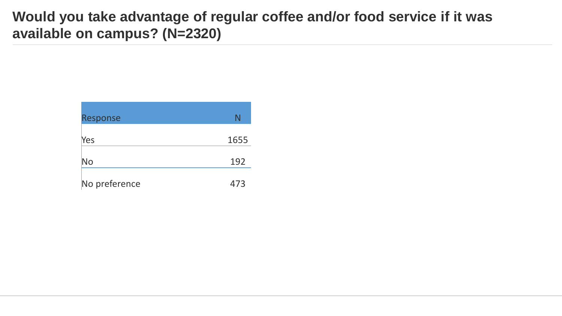#### **Would you take advantage of regular coffee and/or food service if it was available on campus? (N=2320)**

| Response      | N    |
|---------------|------|
|               |      |
| Yes           | 1655 |
|               |      |
| No            | 192  |
|               |      |
| No preference | 473  |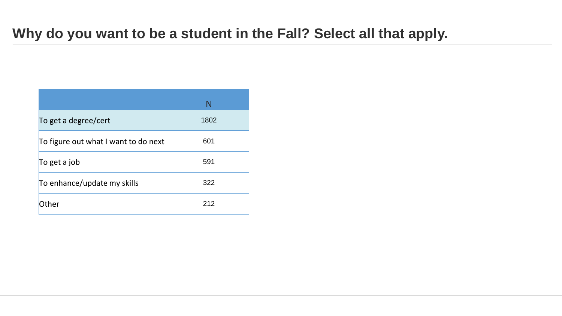#### **Why do you want to be a student in the Fall? Select all that apply.**

|                                      | N    |
|--------------------------------------|------|
| To get a degree/cert                 | 1802 |
| To figure out what I want to do next | 601  |
| To get a job                         | 591  |
| To enhance/update my skills          | 322  |
| Other                                | 212  |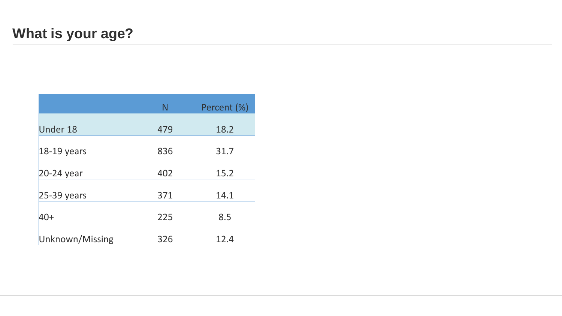|                 | N   | Percent (%) |
|-----------------|-----|-------------|
| Under 18        | 479 | 18.2        |
| $18-19$ years   | 836 | 31.7        |
| 20-24 year      | 402 | 15.2        |
| $25-39$ years   | 371 | 14.1        |
| $40+$           | 225 | 8.5         |
| Unknown/Missing | 326 | 12.4        |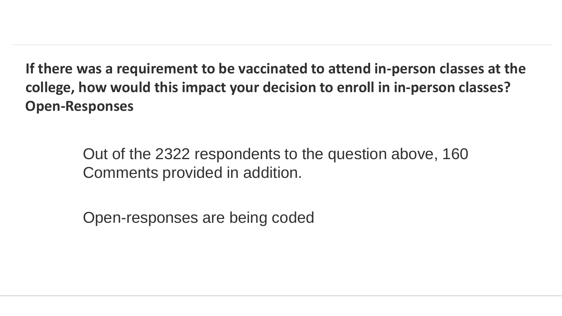**If there was a requirement to be vaccinated to attend in-person classes at the college, how would this impact your decision to enroll in in-person classes? Open-Responses** 

> Out of the 2322 respondents to the question above, 160 Comments provided in addition.

Open-responses are being coded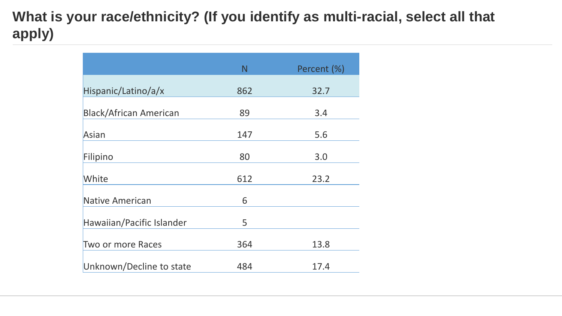## What is your race/ethnicity? (If you identify as multi-racial, select all that **apply)**

|                               | N   | Percent (%) |
|-------------------------------|-----|-------------|
| Hispanic/Latino/a/x           | 862 | 32.7        |
| <b>Black/African American</b> | 89  | 3.4         |
| Asian                         | 147 | 5.6         |
| Filipino                      | 80  | 3.0         |
| White                         | 612 | 23.2        |
| Native American               | 6   |             |
| Hawaiian/Pacific Islander     | 5   |             |
| Two or more Races             | 364 | 13.8        |
| Unknown/Decline to state      | 484 | 17.4        |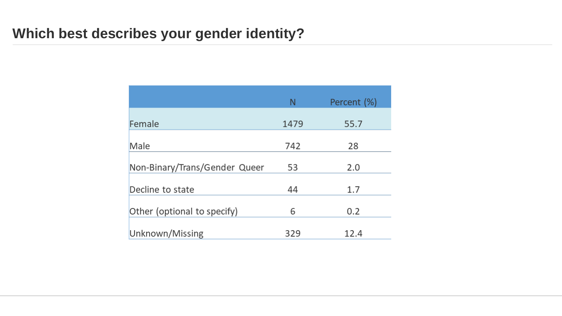|                               | N    | Percent (%) |
|-------------------------------|------|-------------|
| Female                        | 1479 | 55.7        |
| Male                          | 742  |             |
|                               |      | 28          |
| Non-Binary/Trans/Gender Queer | 53   | 2.0         |
| Decline to state              | 44   | 1.7         |
| Other (optional to specify)   | 6    | 0.2         |
| Unknown/Missing               | 329  | 12.4        |